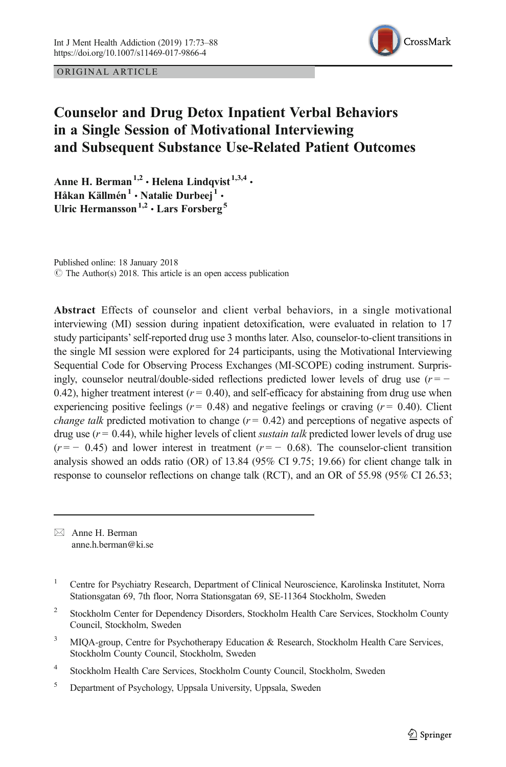

ORIGINAL ARTICLE

# Counselor and Drug Detox Inpatient Verbal Behaviors in a Single Session of Motivational Interviewing and Subsequent Substance Use-Related Patient Outcomes

Anne H. Berman<sup>1,2</sup> · Helena Lindqvist<sup>1,3,4</sup> · Håkan Källmén<sup>1</sup> · Natalie Durbeej<sup>1</sup> · Ulric Hermansson<sup>1,2</sup>  $\cdot$  Lars Forsberg<sup>5</sup>

Published online: 18 January 2018  $\circ$  The Author(s) 2018. This article is an open access publication

Abstract Effects of counselor and client verbal behaviors, in a single motivational interviewing (MI) session during inpatient detoxification, were evaluated in relation to 17 study participants'self-reported drug use 3 months later. Also, counselor-to-client transitions in the single MI session were explored for 24 participants, using the Motivational Interviewing Sequential Code for Observing Process Exchanges (MI-SCOPE) coding instrument. Surprisingly, counselor neutral/double-sided reflections predicted lower levels of drug use  $(r = -$ 0.42), higher treatment interest ( $r = 0.40$ ), and self-efficacy for abstaining from drug use when experiencing positive feelings ( $r = 0.48$ ) and negative feelings or craving ( $r = 0.40$ ). Client *change talk* predicted motivation to change  $(r = 0.42)$  and perceptions of negative aspects of drug use  $(r = 0.44)$ , while higher levels of client *sustain talk* predicted lower levels of drug use  $(r = -0.45)$  and lower interest in treatment  $(r = -0.68)$ . The counselor-client transition analysis showed an odds ratio (OR) of 13.84 (95% CI 9.75; 19.66) for client change talk in response to counselor reflections on change talk (RCT), and an OR of 55.98 (95% CI 26.53;

 $\boxtimes$  Anne H. Berman [anne.h.berman@ki.se](mailto:anne.h.berman@ki.se)

<sup>3</sup> MIQA-group, Centre for Psychotherapy Education & Research, Stockholm Health Care Services, Stockholm County Council, Stockholm, Sweden

<sup>4</sup> Stockholm Health Care Services, Stockholm County Council, Stockholm, Sweden

<sup>5</sup> Department of Psychology, Uppsala University, Uppsala, Sweden

<sup>&</sup>lt;sup>1</sup> Centre for Psychiatry Research, Department of Clinical Neuroscience, Karolinska Institutet, Norra Stationsgatan 69, 7th floor, Norra Stationsgatan 69, SE-11364 Stockholm, Sweden

<sup>&</sup>lt;sup>2</sup> Stockholm Center for Dependency Disorders, Stockholm Health Care Services, Stockholm County Council, Stockholm, Sweden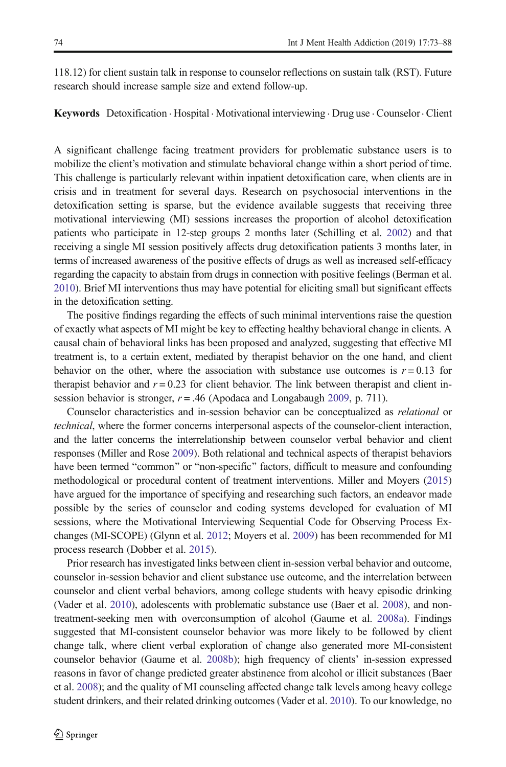118.12) for client sustain talk in response to counselor reflections on sustain talk (RST). Future research should increase sample size and extend follow-up.

Keywords Detoxification . Hospital . Motivational interviewing . Drug use . Counselor. Client

A significant challenge facing treatment providers for problematic substance users is to mobilize the client's motivation and stimulate behavioral change within a short period of time. This challenge is particularly relevant within inpatient detoxification care, when clients are in crisis and in treatment for several days. Research on psychosocial interventions in the detoxification setting is sparse, but the evidence available suggests that receiving three motivational interviewing (MI) sessions increases the proportion of alcohol detoxification patients who participate in 12-step groups 2 months later (Schilling et al. [2002\)](#page-15-0) and that receiving a single MI session positively affects drug detoxification patients 3 months later, in terms of increased awareness of the positive effects of drugs as well as increased self-efficacy regarding the capacity to abstain from drugs in connection with positive feelings (Berman et al. [2010](#page-14-0)). Brief MI interventions thus may have potential for eliciting small but significant effects in the detoxification setting.

The positive findings regarding the effects of such minimal interventions raise the question of exactly what aspects of MI might be key to effecting healthy behavioral change in clients. A causal chain of behavioral links has been proposed and analyzed, suggesting that effective MI treatment is, to a certain extent, mediated by therapist behavior on the one hand, and client behavior on the other, where the association with substance use outcomes is  $r = 0.13$  for therapist behavior and  $r = 0.23$  for client behavior. The link between therapist and client insession behavior is stronger,  $r = .46$  (Apodaca and Longabaugh [2009](#page-14-0), p. 711).

Counselor characteristics and in-session behavior can be conceptualized as relational or technical, where the former concerns interpersonal aspects of the counselor-client interaction, and the latter concerns the interrelationship between counselor verbal behavior and client responses (Miller and Rose [2009](#page-15-0)). Both relational and technical aspects of therapist behaviors have been termed "common" or "non-specific" factors, difficult to measure and confounding methodological or procedural content of treatment interventions. Miller and Moyers [\(2015\)](#page-15-0) have argued for the importance of specifying and researching such factors, an endeavor made possible by the series of counselor and coding systems developed for evaluation of MI sessions, where the Motivational Interviewing Sequential Code for Observing Process Exchanges (MI-SCOPE) (Glynn et al. [2012](#page-15-0); Moyers et al. [2009](#page-15-0)) has been recommended for MI process research (Dobber et al. [2015\)](#page-14-0).

Prior research has investigated links between client in-session verbal behavior and outcome, counselor in-session behavior and client substance use outcome, and the interrelation between counselor and client verbal behaviors, among college students with heavy episodic drinking (Vader et al. [2010](#page-15-0)), adolescents with problematic substance use (Baer et al. [2008\)](#page-14-0), and nontreatment-seeking men with overconsumption of alcohol (Gaume et al. [2008a\)](#page-15-0). Findings suggested that MI-consistent counselor behavior was more likely to be followed by client change talk, where client verbal exploration of change also generated more MI-consistent counselor behavior (Gaume et al. [2008b\)](#page-15-0); high frequency of clients' in-session expressed reasons in favor of change predicted greater abstinence from alcohol or illicit substances (Baer et al. [2008](#page-14-0)); and the quality of MI counseling affected change talk levels among heavy college student drinkers, and their related drinking outcomes (Vader et al. [2010](#page-15-0)). To our knowledge, no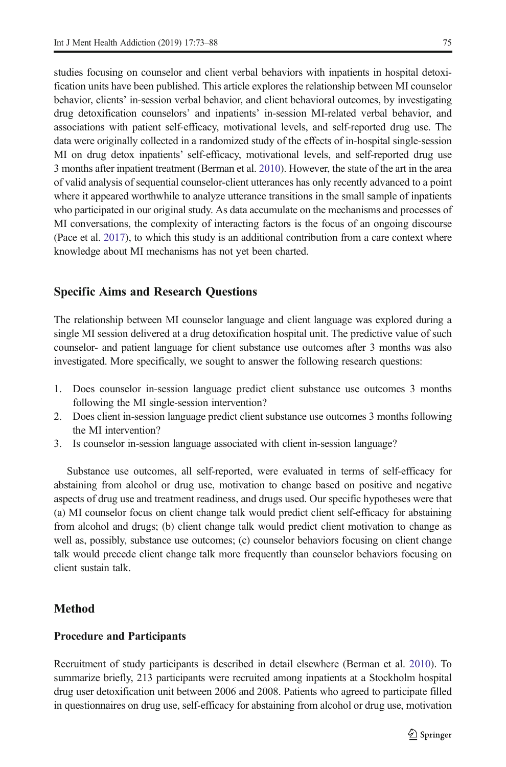studies focusing on counselor and client verbal behaviors with inpatients in hospital detoxification units have been published. This article explores the relationship between MI counselor behavior, clients' in-session verbal behavior, and client behavioral outcomes, by investigating drug detoxification counselors' and inpatients' in-session MI-related verbal behavior, and associations with patient self-efficacy, motivational levels, and self-reported drug use. The data were originally collected in a randomized study of the effects of in-hospital single-session MI on drug detox inpatients' self-efficacy, motivational levels, and self-reported drug use 3 months after inpatient treatment (Berman et al. [2010\)](#page-14-0). However, the state of the art in the area of valid analysis of sequential counselor-client utterances has only recently advanced to a point where it appeared worthwhile to analyze utterance transitions in the small sample of inpatients who participated in our original study. As data accumulate on the mechanisms and processes of MI conversations, the complexity of interacting factors is the focus of an ongoing discourse (Pace et al. [2017\)](#page-15-0), to which this study is an additional contribution from a care context where knowledge about MI mechanisms has not yet been charted.

## Specific Aims and Research Questions

The relationship between MI counselor language and client language was explored during a single MI session delivered at a drug detoxification hospital unit. The predictive value of such counselor- and patient language for client substance use outcomes after 3 months was also investigated. More specifically, we sought to answer the following research questions:

- 1. Does counselor in-session language predict client substance use outcomes 3 months following the MI single-session intervention?
- 2. Does client in-session language predict client substance use outcomes 3 months following the MI intervention?
- 3. Is counselor in-session language associated with client in-session language?

Substance use outcomes, all self-reported, were evaluated in terms of self-efficacy for abstaining from alcohol or drug use, motivation to change based on positive and negative aspects of drug use and treatment readiness, and drugs used. Our specific hypotheses were that (a) MI counselor focus on client change talk would predict client self-efficacy for abstaining from alcohol and drugs; (b) client change talk would predict client motivation to change as well as, possibly, substance use outcomes; (c) counselor behaviors focusing on client change talk would precede client change talk more frequently than counselor behaviors focusing on client sustain talk.

### Method

### Procedure and Participants

Recruitment of study participants is described in detail elsewhere (Berman et al. [2010](#page-14-0)). To summarize briefly, 213 participants were recruited among inpatients at a Stockholm hospital drug user detoxification unit between 2006 and 2008. Patients who agreed to participate filled in questionnaires on drug use, self-efficacy for abstaining from alcohol or drug use, motivation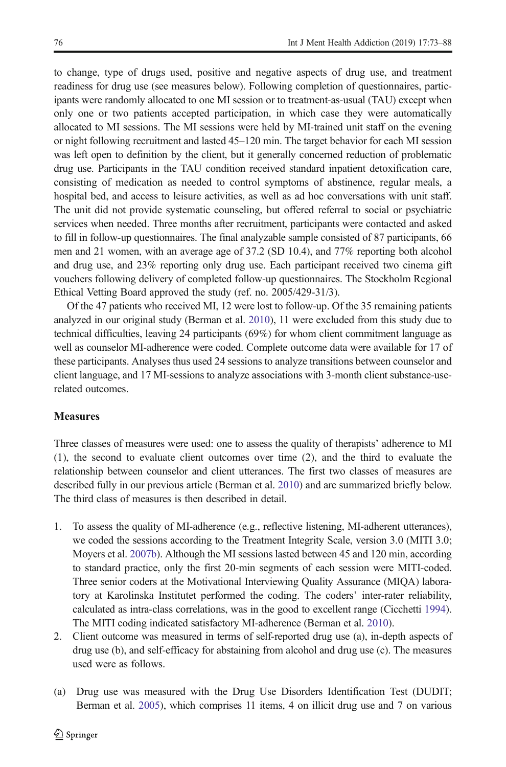to change, type of drugs used, positive and negative aspects of drug use, and treatment readiness for drug use (see measures below). Following completion of questionnaires, participants were randomly allocated to one MI session or to treatment-as-usual (TAU) except when only one or two patients accepted participation, in which case they were automatically allocated to MI sessions. The MI sessions were held by MI-trained unit staff on the evening or night following recruitment and lasted 45–120 min. The target behavior for each MI session was left open to definition by the client, but it generally concerned reduction of problematic drug use. Participants in the TAU condition received standard inpatient detoxification care, consisting of medication as needed to control symptoms of abstinence, regular meals, a hospital bed, and access to leisure activities, as well as ad hoc conversations with unit staff. The unit did not provide systematic counseling, but offered referral to social or psychiatric services when needed. Three months after recruitment, participants were contacted and asked to fill in follow-up questionnaires. The final analyzable sample consisted of 87 participants, 66 men and 21 women, with an average age of 37.2 (SD 10.4), and 77% reporting both alcohol and drug use, and 23% reporting only drug use. Each participant received two cinema gift vouchers following delivery of completed follow-up questionnaires. The Stockholm Regional Ethical Vetting Board approved the study (ref. no. 2005/429-31/3).

Of the 47 patients who received MI, 12 were lost to follow-up. Of the 35 remaining patients analyzed in our original study (Berman et al. [2010](#page-14-0)), 11 were excluded from this study due to technical difficulties, leaving 24 participants (69%) for whom client commitment language as well as counselor MI-adherence were coded. Complete outcome data were available for 17 of these participants. Analyses thus used 24 sessions to analyze transitions between counselor and client language, and 17 MI-sessions to analyze associations with 3-month client substance-userelated outcomes.

#### **Measures**

Three classes of measures were used: one to assess the quality of therapists' adherence to MI (1), the second to evaluate client outcomes over time (2), and the third to evaluate the relationship between counselor and client utterances. The first two classes of measures are described fully in our previous article (Berman et al. [2010\)](#page-14-0) and are summarized briefly below. The third class of measures is then described in detail.

- 1. To assess the quality of MI-adherence (e.g., reflective listening, MI-adherent utterances), we coded the sessions according to the Treatment Integrity Scale, version 3.0 (MITI 3.0; Moyers et al. [2007b](#page-15-0)). Although the MI sessions lasted between 45 and 120 min, according to standard practice, only the first 20-min segments of each session were MITI-coded. Three senior coders at the Motivational Interviewing Quality Assurance (MIQA) laboratory at Karolinska Institutet performed the coding. The coders' inter-rater reliability, calculated as intra-class correlations, was in the good to excellent range (Cicchetti [1994](#page-14-0)). The MITI coding indicated satisfactory MI-adherence (Berman et al. [2010](#page-14-0)).
- 2. Client outcome was measured in terms of self-reported drug use (a), in-depth aspects of drug use (b), and self-efficacy for abstaining from alcohol and drug use (c). The measures used were as follows.
- (a) Drug use was measured with the Drug Use Disorders Identification Test (DUDIT; Berman et al. [2005\)](#page-14-0), which comprises 11 items, 4 on illicit drug use and 7 on various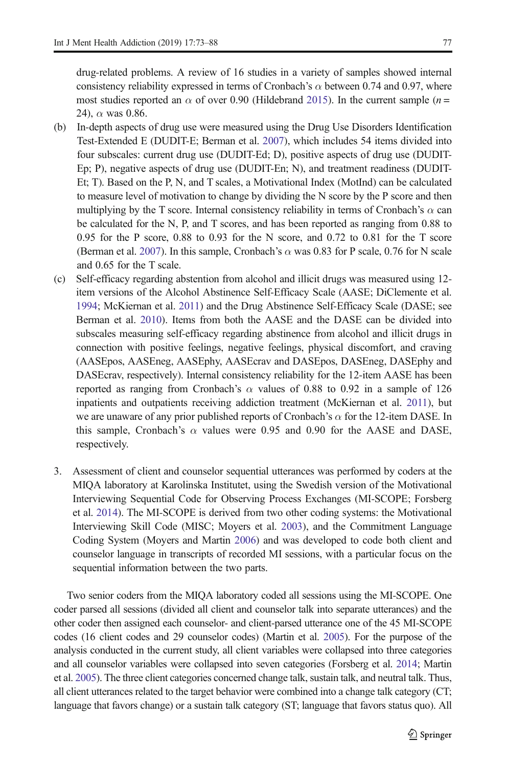drug-related problems. A review of 16 studies in a variety of samples showed internal consistency reliability expressed in terms of Cronbach's  $\alpha$  between 0.74 and 0.97, where most studies reported an  $\alpha$  of over 0.90 (Hildebrand [2015\)](#page-15-0). In the current sample (*n* = 24),  $\alpha$  was 0.86.

- (b) In-depth aspects of drug use were measured using the Drug Use Disorders Identification Test-Extended E (DUDIT-E; Berman et al. [2007\)](#page-14-0), which includes 54 items divided into four subscales: current drug use (DUDIT-Ed; D), positive aspects of drug use (DUDIT-Ep; P), negative aspects of drug use (DUDIT-En; N), and treatment readiness (DUDIT-Et; T). Based on the P, N, and T scales, a Motivational Index (MotInd) can be calculated to measure level of motivation to change by dividing the N score by the P score and then multiplying by the T score. Internal consistency reliability in terms of Cronbach's  $\alpha$  can be calculated for the N, P, and T scores, and has been reported as ranging from 0.88 to 0.95 for the P score, 0.88 to 0.93 for the N score, and 0.72 to 0.81 for the T score (Berman et al. [2007\)](#page-14-0). In this sample, Cronbach's  $\alpha$  was 0.83 for P scale, 0.76 for N scale and 0.65 for the T scale.
- (c) Self-efficacy regarding abstention from alcohol and illicit drugs was measured using 12 item versions of the Alcohol Abstinence Self-Efficacy Scale (AASE; DiClemente et al. [1994;](#page-14-0) McKiernan et al. [2011\)](#page-15-0) and the Drug Abstinence Self-Efficacy Scale (DASE; see Berman et al. [2010](#page-14-0)). Items from both the AASE and the DASE can be divided into subscales measuring self-efficacy regarding abstinence from alcohol and illicit drugs in connection with positive feelings, negative feelings, physical discomfort, and craving (AASEpos, AASEneg, AASEphy, AASEcrav and DASEpos, DASEneg, DASEphy and DASEcrav, respectively). Internal consistency reliability for the 12-item AASE has been reported as ranging from Cronbach's  $\alpha$  values of 0.88 to 0.92 in a sample of 126 inpatients and outpatients receiving addiction treatment (McKiernan et al. [2011\)](#page-15-0), but we are unaware of any prior published reports of Cronbach's  $\alpha$  for the 12-item DASE. In this sample, Cronbach's  $\alpha$  values were 0.95 and 0.90 for the AASE and DASE, respectively.
- 3. Assessment of client and counselor sequential utterances was performed by coders at the MIQA laboratory at Karolinska Institutet, using the Swedish version of the Motivational Interviewing Sequential Code for Observing Process Exchanges (MI-SCOPE; Forsberg et al. [2014](#page-14-0)). The MI-SCOPE is derived from two other coding systems: the Motivational Interviewing Skill Code (MISC; Moyers et al. [2003\)](#page-15-0), and the Commitment Language Coding System (Moyers and Martin [2006](#page-15-0)) and was developed to code both client and counselor language in transcripts of recorded MI sessions, with a particular focus on the sequential information between the two parts.

Two senior coders from the MIQA laboratory coded all sessions using the MI-SCOPE. One coder parsed all sessions (divided all client and counselor talk into separate utterances) and the other coder then assigned each counselor- and client-parsed utterance one of the 45 MI-SCOPE codes (16 client codes and 29 counselor codes) (Martin et al. [2005](#page-15-0)). For the purpose of the analysis conducted in the current study, all client variables were collapsed into three categories and all counselor variables were collapsed into seven categories (Forsberg et al. [2014;](#page-14-0) Martin et al. [2005\)](#page-15-0). The three client categories concerned change talk, sustain talk, and neutral talk. Thus, all client utterances related to the target behavior were combined into a change talk category (CT; language that favors change) or a sustain talk category (ST; language that favors status quo). All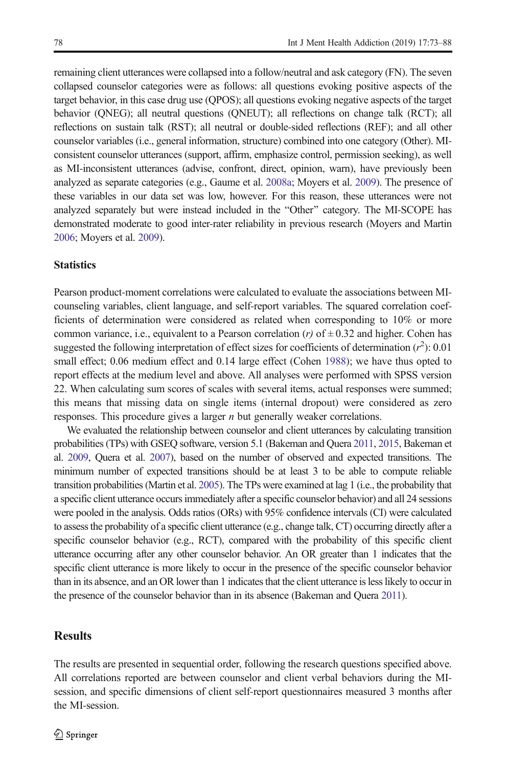remaining client utterances were collapsed into a follow/neutral and ask category (FN). The seven collapsed counselor categories were as follows: all questions evoking positive aspects of the target behavior, in this case drug use (QPOS); all questions evoking negative aspects of the target behavior (QNEG); all neutral questions (QNEUT); all reflections on change talk (RCT); all reflections on sustain talk (RST); all neutral or double-sided reflections (REF); and all other counselor variables (i.e., general information, structure) combined into one category (Other). MIconsistent counselor utterances (support, affirm, emphasize control, permission seeking), as well as MI-inconsistent utterances (advise, confront, direct, opinion, warn), have previously been analyzed as separate categories (e.g., Gaume et al. [2008a](#page-15-0); Moyers et al. [2009\)](#page-15-0). The presence of these variables in our data set was low, however. For this reason, these utterances were not analyzed separately but were instead included in the "Other" category. The MI-SCOPE has demonstrated moderate to good inter-rater reliability in previous research (Moyers and Martin [2006;](#page-15-0) Moyers et al. [2009](#page-15-0)).

#### **Statistics**

Pearson product-moment correlations were calculated to evaluate the associations between MIcounseling variables, client language, and self-report variables. The squared correlation coefficients of determination were considered as related when corresponding to 10% or more common variance, i.e., equivalent to a Pearson correlation ( $r$ ) of  $\pm$  0.32 and higher. Cohen has suggested the following interpretation of effect sizes for coefficients of determination  $(r^2)$ : 0.01 small effect; 0.06 medium effect and 0.14 large effect (Cohen [1988\)](#page-14-0); we have thus opted to report effects at the medium level and above. All analyses were performed with SPSS version 22. When calculating sum scores of scales with several items, actual responses were summed; this means that missing data on single items (internal dropout) were considered as zero responses. This procedure gives a larger *n* but generally weaker correlations.

We evaluated the relationship between counselor and client utterances by calculating transition probabilities (TPs) with GSEQ software, version 5.1 (Bakeman and Quera [2011,](#page-14-0) [2015,](#page-14-0) Bakeman et al. [2009,](#page-14-0) Quera et al. [2007\)](#page-15-0), based on the number of observed and expected transitions. The minimum number of expected transitions should be at least 3 to be able to compute reliable transition probabilities (Martin et al. [2005](#page-15-0)). The TPs were examined at lag 1 (i.e., the probability that a specific client utterance occurs immediately after a specific counselor behavior) and all 24 sessions were pooled in the analysis. Odds ratios (ORs) with 95% confidence intervals (CI) were calculated to assess the probability of a specific client utterance (e.g., change talk, CT) occurring directly after a specific counselor behavior (e.g., RCT), compared with the probability of this specific client utterance occurring after any other counselor behavior. An OR greater than 1 indicates that the specific client utterance is more likely to occur in the presence of the specific counselor behavior than in its absence, and an OR lower than 1 indicates that the client utterance is less likely to occur in the presence of the counselor behavior than in its absence (Bakeman and Quera [2011\)](#page-14-0).

### **Results**

The results are presented in sequential order, following the research questions specified above. All correlations reported are between counselor and client verbal behaviors during the MIsession, and specific dimensions of client self-report questionnaires measured 3 months after the MI-session.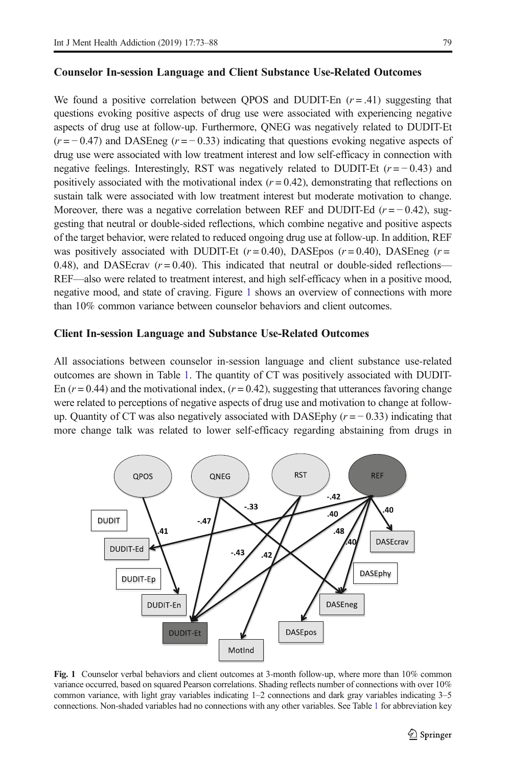#### Counselor In-session Language and Client Substance Use-Related Outcomes

We found a positive correlation between QPOS and DUDIT-En  $(r = .41)$  suggesting that questions evoking positive aspects of drug use were associated with experiencing negative aspects of drug use at follow-up. Furthermore, QNEG was negatively related to DUDIT-Et  $(r = -0.47)$  and DASEneg  $(r = -0.33)$  indicating that questions evoking negative aspects of drug use were associated with low treatment interest and low self-efficacy in connection with negative feelings. Interestingly, RST was negatively related to DUDIT-Et  $(r = -0.43)$  and positively associated with the motivational index  $(r = 0.42)$ , demonstrating that reflections on sustain talk were associated with low treatment interest but moderate motivation to change. Moreover, there was a negative correlation between REF and DUDIT-Ed  $(r = -0.42)$ , suggesting that neutral or double-sided reflections, which combine negative and positive aspects of the target behavior, were related to reduced ongoing drug use at follow-up. In addition, REF was positively associated with DUDIT-Et  $(r = 0.40)$ , DASEpos  $(r = 0.40)$ , DASEneg  $(r = 0.40)$ 0.48), and DASEcrav  $(r = 0.40)$ . This indicated that neutral or double-sided reflections— REF—also were related to treatment interest, and high self-efficacy when in a positive mood, negative mood, and state of craving. Figure 1 shows an overview of connections with more than 10% common variance between counselor behaviors and client outcomes.

#### Client In-session Language and Substance Use-Related Outcomes

All associations between counselor in-session language and client substance use-related outcomes are shown in Table [1.](#page-7-0) The quantity of CT was positively associated with DUDIT-En  $(r = 0.44)$  and the motivational index,  $(r = 0.42)$ , suggesting that utterances favoring change were related to perceptions of negative aspects of drug use and motivation to change at followup. Quantity of CT was also negatively associated with DASEphy  $(r = -0.33)$  indicating that more change talk was related to lower self-efficacy regarding abstaining from drugs in



Fig. 1 Counselor verbal behaviors and client outcomes at 3-month follow-up, where more than 10% common variance occurred, based on squared Pearson correlations. Shading reflects number of connections with over 10% common variance, with light gray variables indicating 1–2 connections and dark gray variables indicating 3–5 connections. Non-shaded variables had no connections with any other variables. See Table 1 for abbreviation key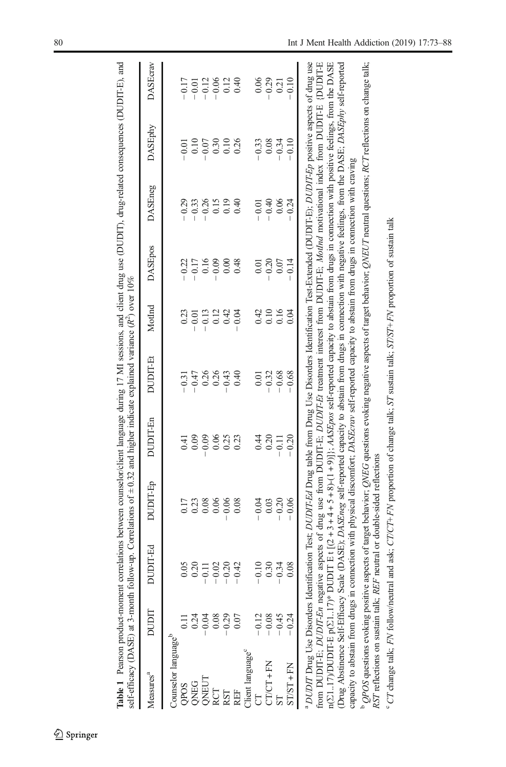<span id="page-7-0"></span>

|                                                                                                                                                                                                   |               |              | Table 1 Pearson product-moment correlations between counselor/client language during 17 MI sessions, and client drug use (DUDIT), drug-related consequences (DUDIT-E), and<br>self-efficacy (DASE) at 3-month follow-up. Correlations of $\pm 0.32$ and higher indicate explained variance $(R^2)$ over 10%                                                                                                                                                                                                                                                                                                                                                                                                                                                                                                                                                                                                                                                                                                           |          |                 |         |                |                |         |                    |
|---------------------------------------------------------------------------------------------------------------------------------------------------------------------------------------------------|---------------|--------------|-----------------------------------------------------------------------------------------------------------------------------------------------------------------------------------------------------------------------------------------------------------------------------------------------------------------------------------------------------------------------------------------------------------------------------------------------------------------------------------------------------------------------------------------------------------------------------------------------------------------------------------------------------------------------------------------------------------------------------------------------------------------------------------------------------------------------------------------------------------------------------------------------------------------------------------------------------------------------------------------------------------------------|----------|-----------------|---------|----------------|----------------|---------|--------------------|
| Measures <sup>a</sup>                                                                                                                                                                             | <b>TIGDIO</b> | DIT-Ed<br>EQ | $DUDIT-Ep$                                                                                                                                                                                                                                                                                                                                                                                                                                                                                                                                                                                                                                                                                                                                                                                                                                                                                                                                                                                                            | DUDIT-En | <b>DUDIT-Et</b> | MotInd  | <b>DASEpos</b> | <b>DASEneg</b> | DASEphy | <b>DASEcray</b>    |
| Counselor language <sup>b</sup>                                                                                                                                                                   |               | 0.05         | 0.17                                                                                                                                                                                                                                                                                                                                                                                                                                                                                                                                                                                                                                                                                                                                                                                                                                                                                                                                                                                                                  | 0.41     | $-0.31$         | 0.23    | $-0.22$        | $-0.29$        | $-0.01$ | $-0.17$            |
| QPOS<br>QNEG<br>QNEUT                                                                                                                                                                             | 0.24          | 0.20         | 0.23                                                                                                                                                                                                                                                                                                                                                                                                                                                                                                                                                                                                                                                                                                                                                                                                                                                                                                                                                                                                                  | 0.09     | $-0.47$         | $-0.01$ | $-0.17$        | $-0.33$        | 0.10    | $-0.01$            |
|                                                                                                                                                                                                   | $-0.04$       | 11           | 0.08                                                                                                                                                                                                                                                                                                                                                                                                                                                                                                                                                                                                                                                                                                                                                                                                                                                                                                                                                                                                                  | $-0.09$  | 0.26            | $-0.13$ | 0.16           | $-0.26$        | $-0.07$ |                    |
| <b>RCT</b>                                                                                                                                                                                        | 0.08          |              | 0.06                                                                                                                                                                                                                                                                                                                                                                                                                                                                                                                                                                                                                                                                                                                                                                                                                                                                                                                                                                                                                  | 0.06     | 0.26            | 0.12    | $-0.09$        | 0.15           | 0.30    | $-0.12$<br>$-0.06$ |
| RST                                                                                                                                                                                               | $-0.29$       | 0.02         | $-0.06$                                                                                                                                                                                                                                                                                                                                                                                                                                                                                                                                                                                                                                                                                                                                                                                                                                                                                                                                                                                                               | 0.25     | $-0.43$         | 0.42    | 0.00           | 0.19           | 0.10    | 0.12               |
| <b>REF</b>                                                                                                                                                                                        | 0.07          | 42           | 0.08                                                                                                                                                                                                                                                                                                                                                                                                                                                                                                                                                                                                                                                                                                                                                                                                                                                                                                                                                                                                                  | 0.23     | 0.40            | $-0.04$ | 0.48           | 0.40           | 0.26    | 0.40               |
| Client language                                                                                                                                                                                   |               |              |                                                                                                                                                                                                                                                                                                                                                                                                                                                                                                                                                                                                                                                                                                                                                                                                                                                                                                                                                                                                                       |          |                 |         |                |                |         |                    |
|                                                                                                                                                                                                   | $-0.12$       | 0.10         | $-0.04$                                                                                                                                                                                                                                                                                                                                                                                                                                                                                                                                                                                                                                                                                                                                                                                                                                                                                                                                                                                                               | 0.44     | 0.01            | 0.42    | 0.01           | $-0.01$        | $-0.33$ | 0.06               |
| CT/CT+FN                                                                                                                                                                                          | $-0.08$       | 0.30         | 0.03                                                                                                                                                                                                                                                                                                                                                                                                                                                                                                                                                                                                                                                                                                                                                                                                                                                                                                                                                                                                                  | 0.20     | $-0.32$         | 0.10    | $-0.20$        | $-0.40$        | 0.08    | $-0.29$            |
|                                                                                                                                                                                                   | $-0.45$       | 0.34         | $-0.20$                                                                                                                                                                                                                                                                                                                                                                                                                                                                                                                                                                                                                                                                                                                                                                                                                                                                                                                                                                                                               | $-0.11$  | $-0.68$         | 0.16    | 0.07           | 0.06           | $-0.34$ | 0.21               |
| $ST/ST+FN$                                                                                                                                                                                        | $-0.24$       | 0.08         | $-0.06$                                                                                                                                                                                                                                                                                                                                                                                                                                                                                                                                                                                                                                                                                                                                                                                                                                                                                                                                                                                                               | $-0.20$  | $-0.68$         | 0.04    | $-0.14$        | $-0.24$        | $-0.10$ | 0.10               |
| from DUDIT-E; DUDIT-En negative<br>$\mathrm{n}(\Sigma117)/\mathrm{DUDIT\text{-}E}$ $\mathrm{p}(\Sigma117)^*$ DUD.<br>Drug Abstinence Self-Efficacy Scale<br>capacity to abstain from drugs in com |               |              | <sup>a</sup> DUDIT Drug Use Disorders Identification Test, DUDIT-Ed Drug table from Drug Use Disorders Identification Test-Extended (DUDIT-E); DUDIT-Ep positive aspects of drug use<br><sup>b</sup> QPOS questions evoking positive aspects of target behavior; QNEG questions evoking negative aspects of target behavior; QNEUT neutral questions; RCT reflections on change talk;<br>aspects of drug use from DUDIT-E; DUDIT-Et treatment interest from DUDIT-E; Mothal motivational index from DUDIT-E {DUDIT-E<br>IT E t [ $(2+3+4+5+8)$ ]; AASEpos self-reported capacity to abstain from drugs in connection with positive feelings, from the DASE<br>(DASE); <i>DASEneg</i> self-reported capacity to abstain from drugs in connection with negative feelings, from the DASE; <i>DASEphy</i> self-reported<br>acction with physical discomfort, DASEcrav self-reported capacity to abstain from drugs in connection with craving<br>RST reflections on sustain talk; REF neutral or double-sided reflections |          |                 |         |                |                |         |                    |

° CT change talk; FN follow/neutral and ask; CT/CT+FN proportion of change talk; ST sustain talk; ST/ST+FN proportion of sustain talk cCT change talk; FN follow/neutral and ask; CT/CT+FN proportion of change talk; ST sustain talk; ST/ST+FN proportion of sustain talk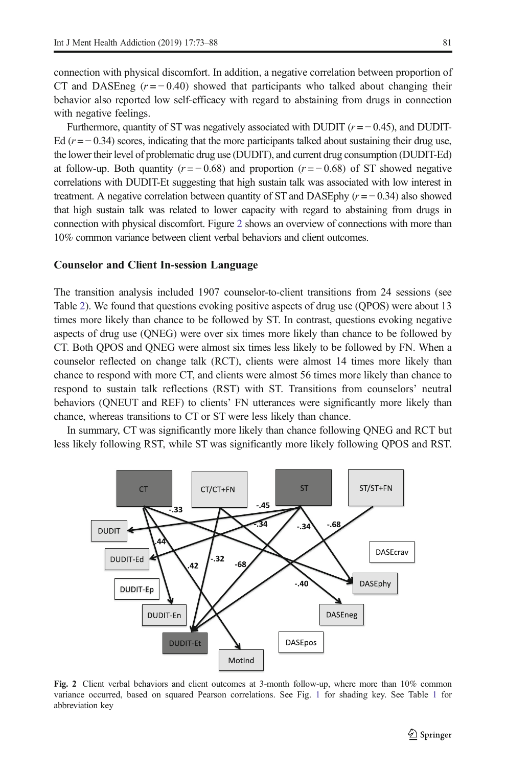connection with physical discomfort. In addition, a negative correlation between proportion of CT and DASEneg  $(r = -0.40)$  showed that participants who talked about changing their behavior also reported low self-efficacy with regard to abstaining from drugs in connection with negative feelings.

Furthermore, quantity of ST was negatively associated with DUDIT  $(r = -0.45)$ , and DUDIT-Ed  $(r = -0.34)$  scores, indicating that the more participants talked about sustaining their drug use, the lower their level of problematic drug use (DUDIT), and current drug consumption (DUDIT-Ed) at follow-up. Both quantity  $(r = -0.68)$  and proportion  $(r = -0.68)$  of ST showed negative correlations with DUDIT-Et suggesting that high sustain talk was associated with low interest in treatment. A negative correlation between quantity of ST and DASEphy  $(r = -0.34)$  also showed that high sustain talk was related to lower capacity with regard to abstaining from drugs in connection with physical discomfort. Figure 2 shows an overview of connections with more than 10% common variance between client verbal behaviors and client outcomes.

#### Counselor and Client In-session Language

The transition analysis included 1907 counselor-to-client transitions from 24 sessions (see Table [2\)](#page-9-0). We found that questions evoking positive aspects of drug use (QPOS) were about 13 times more likely than chance to be followed by ST. In contrast, questions evoking negative aspects of drug use (QNEG) were over six times more likely than chance to be followed by CT. Both QPOS and QNEG were almost six times less likely to be followed by FN. When a counselor reflected on change talk (RCT), clients were almost 14 times more likely than chance to respond with more CT, and clients were almost 56 times more likely than chance to respond to sustain talk reflections (RST) with ST. Transitions from counselors' neutral behaviors (QNEUT and REF) to clients' FN utterances were significantly more likely than chance, whereas transitions to CT or ST were less likely than chance.

In summary, CT was significantly more likely than chance following QNEG and RCT but less likely following RST, while ST was significantly more likely following QPOS and RST.



Fig. 2 Client verbal behaviors and client outcomes at 3-month follow-up, where more than 10% common variance occurred, based on squared Pearson correlations. See Fig. 1 for shading key. See Table 1 for abbreviation key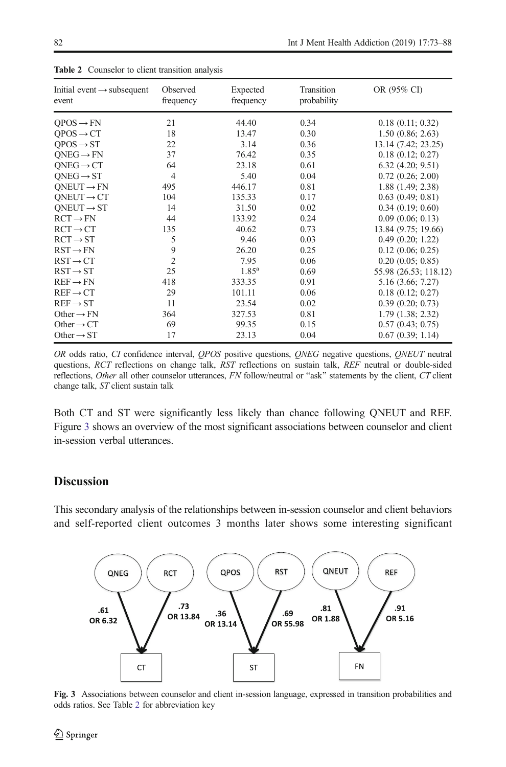| Initial event $\rightarrow$ subsequent<br>event | Observed<br>frequency | Expected<br>frequency | Transition<br>probability | OR (95% CI)           |
|-------------------------------------------------|-----------------------|-----------------------|---------------------------|-----------------------|
| $QPOS \rightarrow FN$                           | 21                    | 44.40                 | 0.34                      | 0.18(0.11; 0.32)      |
| $OPOS \rightarrow CT$                           | 18                    | 13.47                 | 0.30                      | 1.50(0.86; 2.63)      |
| $OPOS \rightarrow ST$                           | 22                    | 3.14                  | 0.36                      | 13.14 (7.42; 23.25)   |
| $ONEG \rightarrow FN$                           | 37                    | 76.42                 | 0.35                      | 0.18(0.12; 0.27)      |
| $ONEG \rightarrow CT$                           | 64                    | 23.18                 | 0.61                      | 6.32(4.20; 9.51)      |
| $ONEG \rightarrow ST$                           | $\overline{4}$        | 5.40                  | 0.04                      | 0.72(0.26; 2.00)      |
| $ONEUT \rightarrow FN$                          | 495                   | 446.17                | 0.81                      | 1.88 (1.49; 2.38)     |
| $ONEUT \rightarrow CT$                          | 104                   | 135.33                | 0.17                      | 0.63(0.49; 0.81)      |
| $ONEUT \rightarrow ST$                          | 14                    | 31.50                 | 0.02                      | 0.34(0.19; 0.60)      |
| $RCT \rightarrow FN$                            | 44                    | 133.92                | 0.24                      | 0.09(0.06; 0.13)      |
| $RCT \rightarrow CT$                            | 135                   | 40.62                 | 0.73                      | 13.84 (9.75; 19.66)   |
| $RCT \rightarrow ST$                            | 5                     | 9.46                  | 0.03                      | 0.49(0.20; 1.22)      |
| $RST \rightarrow FN$                            | 9                     | 26.20                 | 0.25                      | 0.12(0.06; 0.25)      |
| $RST \rightarrow CT$                            | $\overline{c}$        | 7.95                  | 0.06                      | 0.20(0.05; 0.85)      |
| $RST \rightarrow ST$                            | 25                    | 1.85 <sup>a</sup>     | 0.69                      | 55.98 (26.53; 118.12) |
| $REF \rightarrow FN$                            | 418                   | 333.35                | 0.91                      | 5.16 (3.66; 7.27)     |
| $REF \rightarrow CT$                            | 29                    | 101.11                | 0.06                      | 0.18(0.12; 0.27)      |
| $REF \rightarrow ST$                            | 11                    | 23.54                 | 0.02                      | 0.39(0.20; 0.73)      |
| Other $\rightarrow$ FN                          | 364                   | 327.53                | 0.81                      | 1.79(1.38; 2.32)      |
| Other $\rightarrow$ CT                          | 69                    | 99.35                 | 0.15                      | 0.57(0.43; 0.75)      |
| Other $\rightarrow$ ST                          | 17                    | 23.13                 | 0.04                      | 0.67(0.39; 1.14)      |

<span id="page-9-0"></span>Table 2 Counselor to client transition analysis

OR odds ratio, CI confidence interval, QPOS positive questions, QNEG negative questions, QNEUT neutral questions, RCT reflections on change talk, RST reflections on sustain talk, REF neutral or double-sided reflections, *Other* all other counselor utterances, FN follow/neutral or "ask" statements by the client, CT client change talk, ST client sustain talk

Both CT and ST were significantly less likely than chance following QNEUT and REF. Figure 3 shows an overview of the most significant associations between counselor and client in-session verbal utterances.

### Discussion

This secondary analysis of the relationships between in-session counselor and client behaviors and self-reported client outcomes 3 months later shows some interesting significant



Fig. 3 Associations between counselor and client in-session language, expressed in transition probabilities and odds ratios. See Table 2 for abbreviation key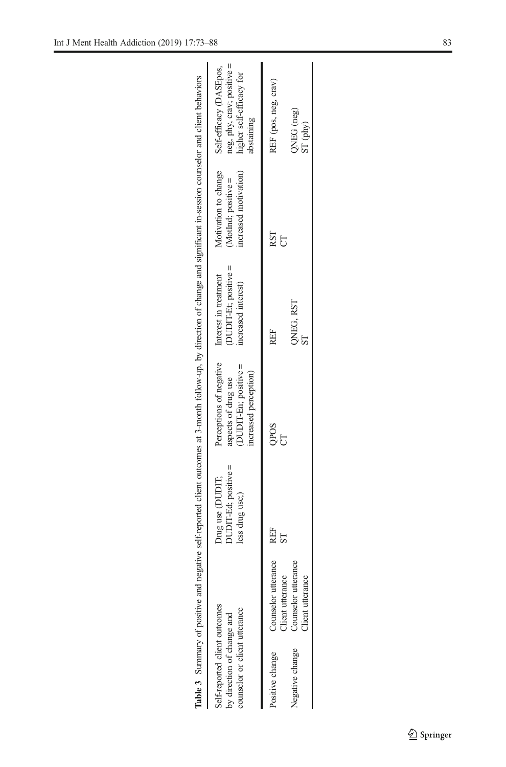<span id="page-10-0"></span>

|                                                                                              |                                         | Table 3 Summary of positive and negative self-reported client outcomes at 3-month follow-up, by direction of change and significant in-session counselor and client behaviors |                                                                                                |                                                                       |                                                                     |                                                                                                 |
|----------------------------------------------------------------------------------------------|-----------------------------------------|-------------------------------------------------------------------------------------------------------------------------------------------------------------------------------|------------------------------------------------------------------------------------------------|-----------------------------------------------------------------------|---------------------------------------------------------------------|-------------------------------------------------------------------------------------------------|
| Self-reported client outcomes<br>counselor or client utterance<br>by direction of change and |                                         | $DUDIT-Ed$ ; positive =<br>Drug use (DUDIT;<br>less drug use;)                                                                                                                | Perceptions of negative<br>DUDIT-En; positive=<br>increased perception)<br>aspects of drug use | (DUDIT-Et; positive =<br>Interest in treatment<br>increased interest) | Motivation to change<br>increased motivation)<br>MotInd; positive = | neg, phy, crav; positive =<br>Self-efficacy (DASEpos,<br>higher self-efficacy for<br>abstaining |
| Positive change                                                                              | Counselor utterance<br>Client utterance | REF                                                                                                                                                                           | QPOS<br>ă                                                                                      | REF                                                                   | RST<br>5                                                            | REF (pos, neg, crav)                                                                            |
| Negative change                                                                              | Counselor utterance<br>Jient utterance  |                                                                                                                                                                               |                                                                                                | QNEG, RST                                                             |                                                                     | QNEG (neg)<br>ST (phy)                                                                          |
|                                                                                              |                                         |                                                                                                                                                                               |                                                                                                |                                                                       |                                                                     |                                                                                                 |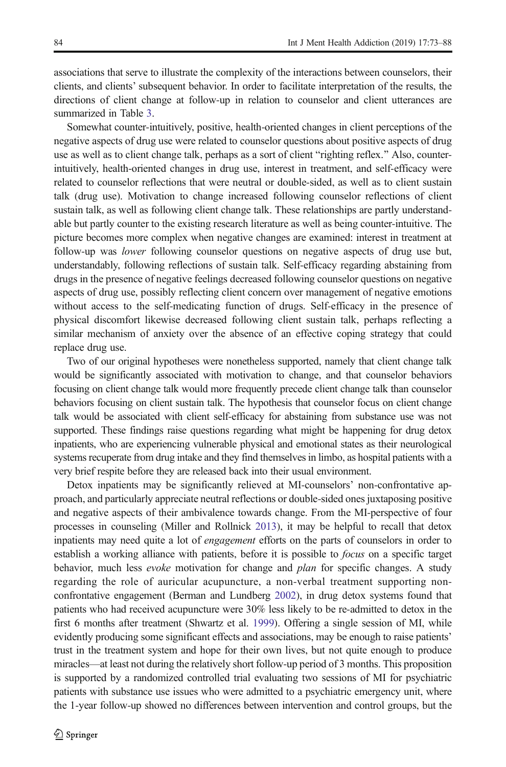associations that serve to illustrate the complexity of the interactions between counselors, their clients, and clients' subsequent behavior. In order to facilitate interpretation of the results, the directions of client change at follow-up in relation to counselor and client utterances are summarized in Table [3.](#page-10-0)

Somewhat counter-intuitively, positive, health-oriented changes in client perceptions of the negative aspects of drug use were related to counselor questions about positive aspects of drug use as well as to client change talk, perhaps as a sort of client "righting reflex." Also, counterintuitively, health-oriented changes in drug use, interest in treatment, and self-efficacy were related to counselor reflections that were neutral or double-sided, as well as to client sustain talk (drug use). Motivation to change increased following counselor reflections of client sustain talk, as well as following client change talk. These relationships are partly understandable but partly counter to the existing research literature as well as being counter-intuitive. The picture becomes more complex when negative changes are examined: interest in treatment at follow-up was lower following counselor questions on negative aspects of drug use but, understandably, following reflections of sustain talk. Self-efficacy regarding abstaining from drugs in the presence of negative feelings decreased following counselor questions on negative aspects of drug use, possibly reflecting client concern over management of negative emotions without access to the self-medicating function of drugs. Self-efficacy in the presence of physical discomfort likewise decreased following client sustain talk, perhaps reflecting a similar mechanism of anxiety over the absence of an effective coping strategy that could replace drug use.

Two of our original hypotheses were nonetheless supported, namely that client change talk would be significantly associated with motivation to change, and that counselor behaviors focusing on client change talk would more frequently precede client change talk than counselor behaviors focusing on client sustain talk. The hypothesis that counselor focus on client change talk would be associated with client self-efficacy for abstaining from substance use was not supported. These findings raise questions regarding what might be happening for drug detox inpatients, who are experiencing vulnerable physical and emotional states as their neurological systems recuperate from drug intake and they find themselves in limbo, as hospital patients with a very brief respite before they are released back into their usual environment.

Detox inpatients may be significantly relieved at MI-counselors' non-confrontative approach, and particularly appreciate neutral reflections or double-sided ones juxtaposing positive and negative aspects of their ambivalence towards change. From the MI-perspective of four processes in counseling (Miller and Rollnick [2013](#page-15-0)), it may be helpful to recall that detox inpatients may need quite a lot of engagement efforts on the parts of counselors in order to establish a working alliance with patients, before it is possible to *focus* on a specific target behavior, much less *evoke* motivation for change and *plan* for specific changes. A study regarding the role of auricular acupuncture, a non-verbal treatment supporting nonconfrontative engagement (Berman and Lundberg [2002](#page-14-0)), in drug detox systems found that patients who had received acupuncture were 30% less likely to be re-admitted to detox in the first 6 months after treatment (Shwartz et al. [1999](#page-15-0)). Offering a single session of MI, while evidently producing some significant effects and associations, may be enough to raise patients' trust in the treatment system and hope for their own lives, but not quite enough to produce miracles—at least not during the relatively short follow-up period of 3 months. This proposition is supported by a randomized controlled trial evaluating two sessions of MI for psychiatric patients with substance use issues who were admitted to a psychiatric emergency unit, where the 1-year follow-up showed no differences between intervention and control groups, but the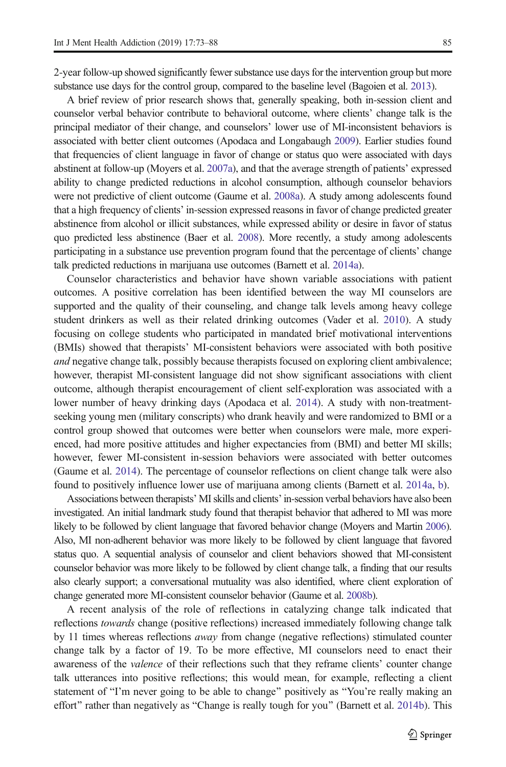2-year follow-up showed significantly fewer substance use days for the intervention group but more substance use days for the control group, compared to the baseline level (Bagoien et al. [2013\)](#page-14-0).

A brief review of prior research shows that, generally speaking, both in-session client and counselor verbal behavior contribute to behavioral outcome, where clients' change talk is the principal mediator of their change, and counselors' lower use of MI-inconsistent behaviors is associated with better client outcomes (Apodaca and Longabaugh [2009\)](#page-14-0). Earlier studies found that frequencies of client language in favor of change or status quo were associated with days abstinent at follow-up (Moyers et al. [2007a\)](#page-15-0), and that the average strength of patients' expressed ability to change predicted reductions in alcohol consumption, although counselor behaviors were not predictive of client outcome (Gaume et al. [2008a](#page-15-0)). A study among adolescents found that a high frequency of clients' in-session expressed reasons in favor of change predicted greater abstinence from alcohol or illicit substances, while expressed ability or desire in favor of status quo predicted less abstinence (Baer et al. [2008\)](#page-14-0). More recently, a study among adolescents participating in a substance use prevention program found that the percentage of clients' change talk predicted reductions in marijuana use outcomes (Barnett et al. [2014a](#page-14-0)).

Counselor characteristics and behavior have shown variable associations with patient outcomes. A positive correlation has been identified between the way MI counselors are supported and the quality of their counseling, and change talk levels among heavy college student drinkers as well as their related drinking outcomes (Vader et al. [2010\)](#page-15-0). A study focusing on college students who participated in mandated brief motivational interventions (BMIs) showed that therapists' MI-consistent behaviors were associated with both positive and negative change talk, possibly because therapists focused on exploring client ambivalence; however, therapist MI-consistent language did not show significant associations with client outcome, although therapist encouragement of client self-exploration was associated with a lower number of heavy drinking days (Apodaca et al. [2014\)](#page-14-0). A study with non-treatmentseeking young men (military conscripts) who drank heavily and were randomized to BMI or a control group showed that outcomes were better when counselors were male, more experienced, had more positive attitudes and higher expectancies from (BMI) and better MI skills; however, fewer MI-consistent in-session behaviors were associated with better outcomes (Gaume et al. [2014\)](#page-15-0). The percentage of counselor reflections on client change talk were also found to positively influence lower use of marijuana among clients (Barnett et al. [2014a](#page-14-0), [b](#page-14-0)).

Associations between therapists' MI skills and clients' in-session verbal behaviors have also been investigated. An initial landmark study found that therapist behavior that adhered to MI was more likely to be followed by client language that favored behavior change (Moyers and Martin [2006](#page-15-0)). Also, MI non-adherent behavior was more likely to be followed by client language that favored status quo. A sequential analysis of counselor and client behaviors showed that MI-consistent counselor behavior was more likely to be followed by client change talk, a finding that our results also clearly support; a conversational mutuality was also identified, where client exploration of change generated more MI-consistent counselor behavior (Gaume et al. [2008b](#page-15-0)).

A recent analysis of the role of reflections in catalyzing change talk indicated that reflections towards change (positive reflections) increased immediately following change talk by 11 times whereas reflections *away* from change (negative reflections) stimulated counter change talk by a factor of 19. To be more effective, MI counselors need to enact their awareness of the *valence* of their reflections such that they reframe clients' counter change talk utterances into positive reflections; this would mean, for example, reflecting a client statement of "I'm never going to be able to change" positively as "You're really making an effort" rather than negatively as "Change is really tough for you" (Barnett et al. [2014b](#page-14-0)). This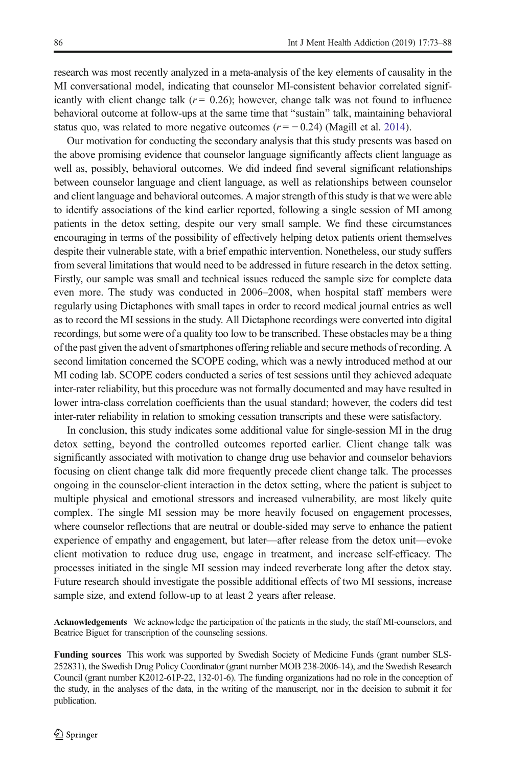research was most recently analyzed in a meta-analysis of the key elements of causality in the MI conversational model, indicating that counselor MI-consistent behavior correlated significantly with client change talk  $(r = 0.26)$ ; however, change talk was not found to influence behavioral outcome at follow-ups at the same time that "sustain" talk, maintaining behavioral status quo, was related to more negative outcomes ( $r = -0.24$ ) (Magill et al. [2014](#page-15-0)).

Our motivation for conducting the secondary analysis that this study presents was based on the above promising evidence that counselor language significantly affects client language as well as, possibly, behavioral outcomes. We did indeed find several significant relationships between counselor language and client language, as well as relationships between counselor and client language and behavioral outcomes. A major strength of this study is that we were able to identify associations of the kind earlier reported, following a single session of MI among patients in the detox setting, despite our very small sample. We find these circumstances encouraging in terms of the possibility of effectively helping detox patients orient themselves despite their vulnerable state, with a brief empathic intervention. Nonetheless, our study suffers from several limitations that would need to be addressed in future research in the detox setting. Firstly, our sample was small and technical issues reduced the sample size for complete data even more. The study was conducted in 2006–2008, when hospital staff members were regularly using Dictaphones with small tapes in order to record medical journal entries as well as to record the MI sessions in the study. All Dictaphone recordings were converted into digital recordings, but some were of a quality too low to be transcribed. These obstacles may be a thing of the past given the advent of smartphones offering reliable and secure methods of recording. A second limitation concerned the SCOPE coding, which was a newly introduced method at our MI coding lab. SCOPE coders conducted a series of test sessions until they achieved adequate inter-rater reliability, but this procedure was not formally documented and may have resulted in lower intra-class correlation coefficients than the usual standard; however, the coders did test inter-rater reliability in relation to smoking cessation transcripts and these were satisfactory.

In conclusion, this study indicates some additional value for single-session MI in the drug detox setting, beyond the controlled outcomes reported earlier. Client change talk was significantly associated with motivation to change drug use behavior and counselor behaviors focusing on client change talk did more frequently precede client change talk. The processes ongoing in the counselor-client interaction in the detox setting, where the patient is subject to multiple physical and emotional stressors and increased vulnerability, are most likely quite complex. The single MI session may be more heavily focused on engagement processes, where counselor reflections that are neutral or double-sided may serve to enhance the patient experience of empathy and engagement, but later—after release from the detox unit—evoke client motivation to reduce drug use, engage in treatment, and increase self-efficacy. The processes initiated in the single MI session may indeed reverberate long after the detox stay. Future research should investigate the possible additional effects of two MI sessions, increase sample size, and extend follow-up to at least 2 years after release.

Acknowledgements We acknowledge the participation of the patients in the study, the staff MI-counselors, and Beatrice Biguet for transcription of the counseling sessions.

Funding sources This work was supported by Swedish Society of Medicine Funds (grant number SLS-252831), the Swedish Drug Policy Coordinator (grant number MOB 238-2006-14), and the Swedish Research Council (grant number K2012-61P-22, 132-01-6). The funding organizations had no role in the conception of the study, in the analyses of the data, in the writing of the manuscript, nor in the decision to submit it for publication.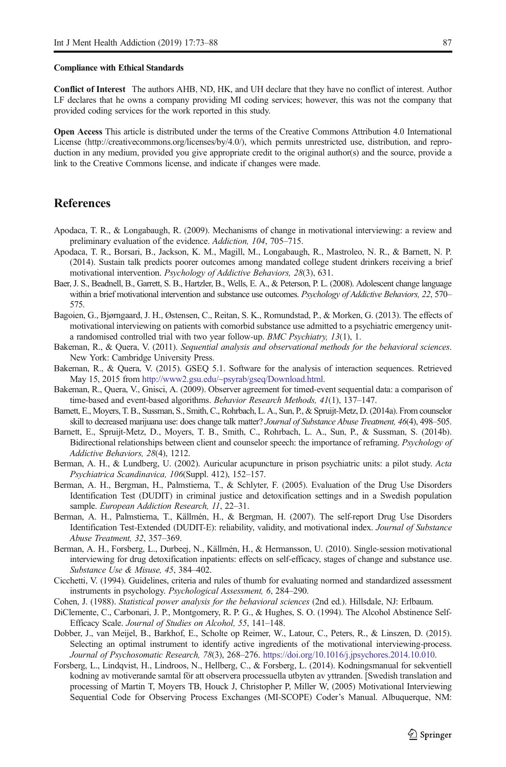#### <span id="page-14-0"></span>Compliance with Ethical Standards

Conflict of Interest The authors AHB, ND, HK, and UH declare that they have no conflict of interest. Author LF declares that he owns a company providing MI coding services; however, this was not the company that provided coding services for the work reported in this study.

Open Access This article is distributed under the terms of the Creative Commons Attribution 4.0 International License (http://creativecommons.org/licenses/by/4.0/), which permits unrestricted use, distribution, and reproduction in any medium, provided you give appropriate credit to the original author(s) and the source, provide a link to the Creative Commons license, and indicate if changes were made.

### **References**

- Apodaca, T. R., & Longabaugh, R. (2009). Mechanisms of change in motivational interviewing: a review and preliminary evaluation of the evidence. Addiction, 104, 705–715.
- Apodaca, T. R., Borsari, B., Jackson, K. M., Magill, M., Longabaugh, R., Mastroleo, N. R., & Barnett, N. P. (2014). Sustain talk predicts poorer outcomes among mandated college student drinkers receiving a brief motivational intervention. Psychology of Addictive Behaviors, 28(3), 631.
- Baer, J. S., Beadnell, B., Garrett, S. B., Hartzler, B., Wells, E. A., & Peterson, P. L. (2008). Adolescent change language within a brief motivational intervention and substance use outcomes. *Psychology of Addictive Behaviors*, 22, 570– 575.
- Bagoien, G., Bjørngaard, J. H., Østensen, C., Reitan, S. K., Romundstad, P., & Morken, G. (2013). The effects of motivational interviewing on patients with comorbid substance use admitted to a psychiatric emergency unita randomised controlled trial with two year follow-up. BMC Psychiatry, 13(1), 1.
- Bakeman, R., & Quera, V. (2011). Sequential analysis and observational methods for the behavioral sciences. New York: Cambridge University Press.
- Bakeman, R., & Quera, V. (2015). GSEQ 5.1. Software for the analysis of interaction sequences. Retrieved May 15, 2015 from [http://www2.gsu.edu/~psyrab/gseq/Download.html.](http://www2.gsu.edu/~psyrab/gseq/Download.html)
- Bakeman, R., Quera, V., Gnisci, A. (2009). Observer agreement for timed-event sequential data: a comparison of time-based and event-based algorithms. Behavior Research Methods, 41(1), 137–147.
- Barnett, E., Moyers, T. B., Sussman, S., Smith, C., Rohrbach, L. A., Sun, P., & Spruijt-Metz, D. (2014a). From counselor skill to decreased marijuana use: does change talk matter? Journal of Substance Abuse Treatment, 46(4), 498–505.
- Barnett, E., Spruijt-Metz, D., Moyers, T. B., Smith, C., Rohrbach, L. A., Sun, P., & Sussman, S. (2014b). Bidirectional relationships between client and counselor speech: the importance of reframing. Psychology of Addictive Behaviors, 28(4), 1212.
- Berman, A. H., & Lundberg, U. (2002). Auricular acupuncture in prison psychiatric units: a pilot study. Acta Psychiatrica Scandinavica, 106(Suppl. 412), 152–157.
- Berman, A. H., Bergman, H., Palmstierna, T., & Schlyter, F. (2005). Evaluation of the Drug Use Disorders Identification Test (DUDIT) in criminal justice and detoxification settings and in a Swedish population sample. European Addiction Research, 11, 22–31.
- Berman, A. H., Palmstierna, T., Källmén, H., & Bergman, H. (2007). The self-report Drug Use Disorders Identification Test-Extended (DUDIT-E): reliability, validity, and motivational index. Journal of Substance Abuse Treatment, 32, 357–369.
- Berman, A. H., Forsberg, L., Durbeej, N., Källmén, H., & Hermansson, U. (2010). Single-session motivational interviewing for drug detoxification inpatients: effects on self-efficacy, stages of change and substance use. Substance Use & Misuse, 45, 384–402.
- Cicchetti, V. (1994). Guidelines, criteria and rules of thumb for evaluating normed and standardized assessment instruments in psychology. Psychological Assessment, 6, 284–290.
- Cohen, J. (1988). Statistical power analysis for the behavioral sciences (2nd ed.). Hillsdale, NJ: Erlbaum.
- DiClemente, C., Carbonari, J. P., Montgomery, R. P. G., & Hughes, S. O. (1994). The Alcohol Abstinence Self-Efficacy Scale. Journal of Studies on Alcohol, 55, 141–148.
- Dobber, J., van Meijel, B., Barkhof, E., Scholte op Reimer, W., Latour, C., Peters, R., & Linszen, D. (2015). Selecting an optimal instrument to identify active ingredients of the motivational interviewing-process. Journal of Psychosomatic Research, 78(3), 268–276. [https://doi.org/10.1016/j.jpsychores.2014.10.010.](https://doi.org/10.1016/j.jpsychores.2014.10.010)
- Forsberg, L., Lindqvist, H., Lindroos, N., Hellberg, C., & Forsberg, L. (2014). Kodningsmanual for sekventiell kodning av motiverande samtal för att observera processuella utbyten av yttranden. [Swedish translation and processing of Martin T, Moyers TB, Houck J, Christopher P, Miller W, (2005) Motivational Interviewing Sequential Code for Observing Process Exchanges (MI-SCOPE) Coder's Manual. Albuquerque, NM: